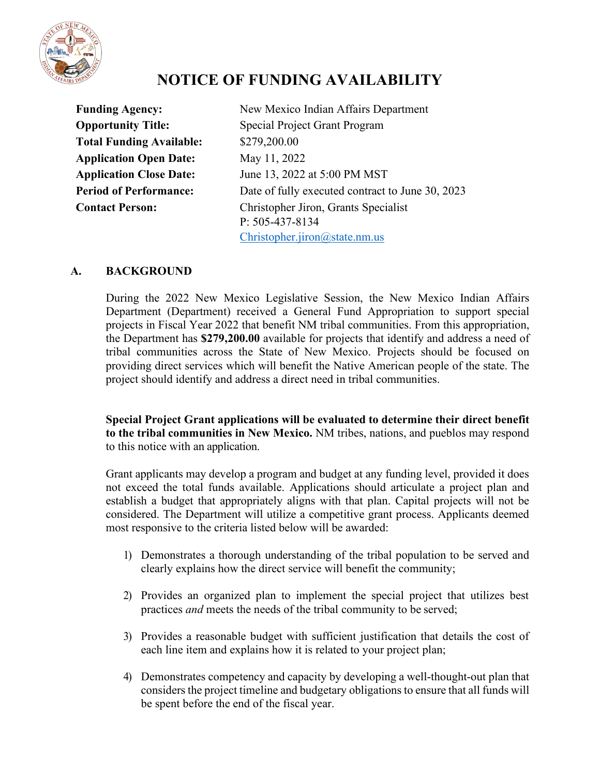

# **NOTICE OF FUNDING AVAILABILITY**

**Total Funding Available:** \$279,200.00 **Application Open Date:** May 11, 2022

**Funding Agency:** New Mexico Indian Affairs Department **Opportunity Title:** Special Project Grant Program **Application Close Date:** June 13, 2022 at 5:00 PM MST **Period of Performance:** Date of fully executed contract to June 30, 2023 **Contact Person:** Christopher Jiron, Grants Specialist P: 505-437-8134 [Christopher.jiron@state.nm.us](mailto:Christopher.jiron@state.nm.us)

### **A. BACKGROUND**

During the 2022 New Mexico Legislative Session, the New Mexico Indian Affairs Department (Department) received a General Fund Appropriation to support special projects in Fiscal Year 2022 that benefit NM tribal communities. From this appropriation, the Department has **\$279,200.00** available for projects that identify and address a need of tribal communities across the State of New Mexico. Projects should be focused on providing direct services which will benefit the Native American people of the state. The project should identify and address a direct need in tribal communities.

**Special Project Grant applications will be evaluated to determine their direct benefit to the tribal communities in New Mexico.** NM tribes, nations, and pueblos may respond to this notice with an application.

Grant applicants may develop a program and budget at any funding level, provided it does not exceed the total funds available. Applications should articulate a project plan and establish a budget that appropriately aligns with that plan. Capital projects will not be considered. The Department will utilize a competitive grant process. Applicants deemed most responsive to the criteria listed below will be awarded:

- 1) Demonstrates a thorough understanding of the tribal population to be served and clearly explains how the direct service will benefit the community;
- 2) Provides an organized plan to implement the special project that utilizes best practices *and* meets the needs of the tribal community to be served;
- 3) Provides a reasonable budget with sufficient justification that details the cost of each line item and explains how it is related to your project plan;
- 4) Demonstrates competency and capacity by developing a well-thought-out plan that considers the project timeline and budgetary obligations to ensure that all funds will be spent before the end of the fiscal year.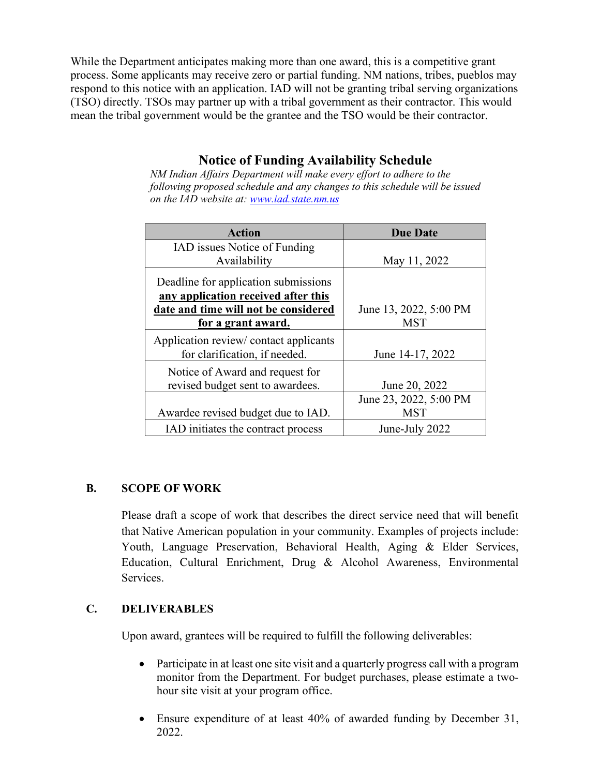While the Department anticipates making more than one award, this is a competitive grant process. Some applicants may receive zero or partial funding. NM nations, tribes, pueblos may respond to this notice with an application. IAD will not be granting tribal serving organizations (TSO) directly. TSOs may partner up with a tribal government as their contractor. This would mean the tribal government would be the grantee and the TSO would be their contractor.

## **Notice of Funding Availability Schedule**

*NM Indian Affairs Department will make every effort to adhere to the following proposed schedule and any changes to this schedule will be issued on the IAD website at: www.iad.state.nm.us*

| <b>Action</b>                         | <b>Due Date</b>        |
|---------------------------------------|------------------------|
| IAD issues Notice of Funding          |                        |
| Availability                          | May 11, 2022           |
| Deadline for application submissions  |                        |
| any application received after this   |                        |
| date and time will not be considered  | June 13, 2022, 5:00 PM |
| for a grant award.                    | <b>MST</b>             |
| Application review/contact applicants |                        |
| for clarification, if needed.         | June 14-17, 2022       |
| Notice of Award and request for       |                        |
| revised budget sent to awardees.      | June 20, 2022          |
|                                       | June 23, 2022, 5:00 PM |
| Awardee revised budget due to IAD.    | <b>MST</b>             |
| IAD initiates the contract process    | June-July 2022         |

#### **B. SCOPE OF WORK**

Please draft a scope of work that describes the direct service need that will benefit that Native American population in your community. Examples of projects include: Youth, Language Preservation, Behavioral Health, Aging & Elder Services, Education, Cultural Enrichment, Drug & Alcohol Awareness, Environmental Services.

#### **C. DELIVERABLES**

Upon award, grantees will be required to fulfill the following deliverables:

- Participate in at least one site visit and a quarterly progress call with a program monitor from the Department. For budget purchases, please estimate a twohour site visit at your program office.
- Ensure expenditure of at least 40% of awarded funding by December 31, 2022.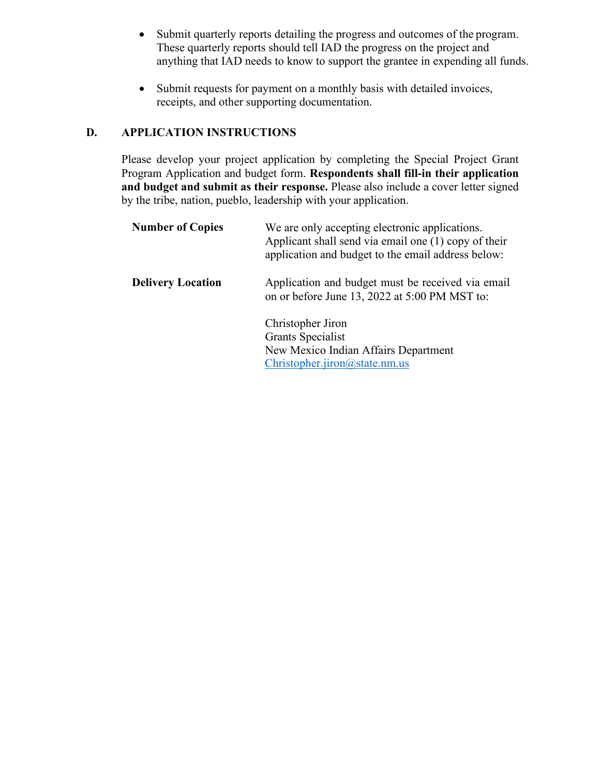- Submit quarterly reports detailing the progress and outcomes of the program. These quarterly reports should tell IAD the progress on the project and anything that IAD needs to know to support the grantee in expending all funds.
- Submit requests for payment on a monthly basis with detailed invoices, receipts, and other supporting documentation.

#### **D. APPLICATION INSTRUCTIONS**

Please develop your project application by completing the Special Project Grant Program Application and budget form. **Respondents shall fill-in their application and budget and submit as their response.** Please also include a cover letter signed by the tribe, nation, pueblo, leadership with your application.

| <b>Number of Copies</b>  | We are only accepting electronic applications.<br>Applicant shall send via email one (1) copy of their<br>application and budget to the email address below: |  |
|--------------------------|--------------------------------------------------------------------------------------------------------------------------------------------------------------|--|
| <b>Delivery Location</b> | Application and budget must be received via email<br>on or before June 13, 2022 at 5:00 PM MST to:                                                           |  |
|                          | Christopher Jiron<br><b>Grants Specialist</b><br>New Mexico Indian Affairs Department<br>Christopher.jiron@state.nm.us                                       |  |